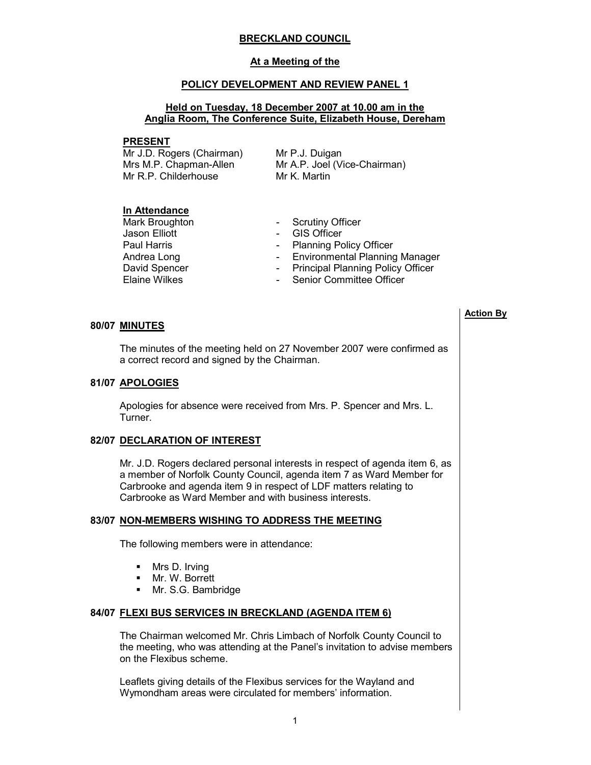## BRECKLAND COUNCIL

### At a Meeting of the

### POLICY DEVELOPMENT AND REVIEW PANEL 1

## Held on Tuesday, 18 December 2007 at 10.00 am in the Anglia Room, The Conference Suite, Elizabeth House, Dereham

#### PRESENT

Mr J.D. Rogers (Chairman) Mrs M.P. Chapman-Allen Mr R.P. Childerhouse

Mr P.J. Duigan Mr A.P. Joel (Vice-Chairman) Mr K. Martin

## In Attendance

Mark Broughton **- Scrutiny Officer**<br>
Jason Elliott **COMEN** - GIS Officer

- 
- GIS Officer
- Paul Harris **Paul Harris Planning Policy Officer**
- Andrea Long **Contract Contract Contract Contract Contract Contract Contract Contract Contract Contract Contract Contract Contract Contract Contract Contract Contract Contract Contract Contract Contract Contract Contract Co**
- David Spencer  **Principal Planning Policy Officer**
- Elaine Wilkes  **Senior Committee Officer**

## 80/07 MINUTES

 The minutes of the meeting held on 27 November 2007 were confirmed as a correct record and signed by the Chairman.

### 81/07 APOLOGIES

 Apologies for absence were received from Mrs. P. Spencer and Mrs. L. Turner.

### 82/07 DECLARATION OF INTEREST

 Mr. J.D. Rogers declared personal interests in respect of agenda item 6, as a member of Norfolk County Council, agenda item 7 as Ward Member for Carbrooke and agenda item 9 in respect of LDF matters relating to Carbrooke as Ward Member and with business interests.

# 83/07 NON-MEMBERS WISHING TO ADDRESS THE MEETING

The following members were in attendance:

- Mrs D. Irving
- § Mr. W. Borrett
- § Mr. S.G. Bambridge

### 84/07 FLEXI BUS SERVICES IN BRECKLAND (AGENDA ITEM 6)

 The Chairman welcomed Mr. Chris Limbach of Norfolk County Council to the meeting, who was attending at the Panel's invitation to advise members on the Flexibus scheme.

Leaflets giving details of the Flexibus services for the Wayland and Wymondham areas were circulated for members' information.

#### Action By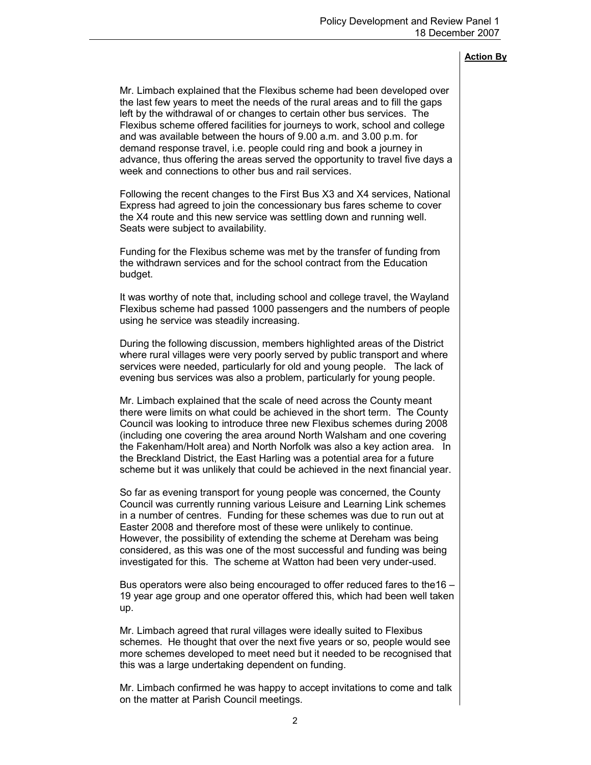Mr. Limbach explained that the Flexibus scheme had been developed over the last few years to meet the needs of the rural areas and to fill the gaps left by the withdrawal of or changes to certain other bus services. The Flexibus scheme offered facilities for journeys to work, school and college and was available between the hours of 9.00 a.m. and 3.00 p.m. for demand response travel, i.e. people could ring and book a journey in advance, thus offering the areas served the opportunity to travel five days a week and connections to other bus and rail services.

Following the recent changes to the First Bus X3 and X4 services, National Express had agreed to join the concessionary bus fares scheme to cover the X4 route and this new service was settling down and running well. Seats were subject to availability.

Funding for the Flexibus scheme was met by the transfer of funding from the withdrawn services and for the school contract from the Education budget.

It was worthy of note that, including school and college travel, the Wayland Flexibus scheme had passed 1000 passengers and the numbers of people using he service was steadily increasing.

During the following discussion, members highlighted areas of the District where rural villages were very poorly served by public transport and where services were needed, particularly for old and young people. The lack of evening bus services was also a problem, particularly for young people.

Mr. Limbach explained that the scale of need across the County meant there were limits on what could be achieved in the short term. The County Council was looking to introduce three new Flexibus schemes during 2008 (including one covering the area around North Walsham and one covering the Fakenham/Holt area) and North Norfolk was also a key action area. In the Breckland District, the East Harling was a potential area for a future scheme but it was unlikely that could be achieved in the next financial year.

So far as evening transport for young people was concerned, the County Council was currently running various Leisure and Learning Link schemes in a number of centres. Funding for these schemes was due to run out at Easter 2008 and therefore most of these were unlikely to continue. However, the possibility of extending the scheme at Dereham was being considered, as this was one of the most successful and funding was being investigated for this. The scheme at Watton had been very under-used.

Bus operators were also being encouraged to offer reduced fares to the16 – 19 year age group and one operator offered this, which had been well taken up.

Mr. Limbach agreed that rural villages were ideally suited to Flexibus schemes. He thought that over the next five years or so, people would see more schemes developed to meet need but it needed to be recognised that this was a large undertaking dependent on funding.

Mr. Limbach confirmed he was happy to accept invitations to come and talk on the matter at Parish Council meetings.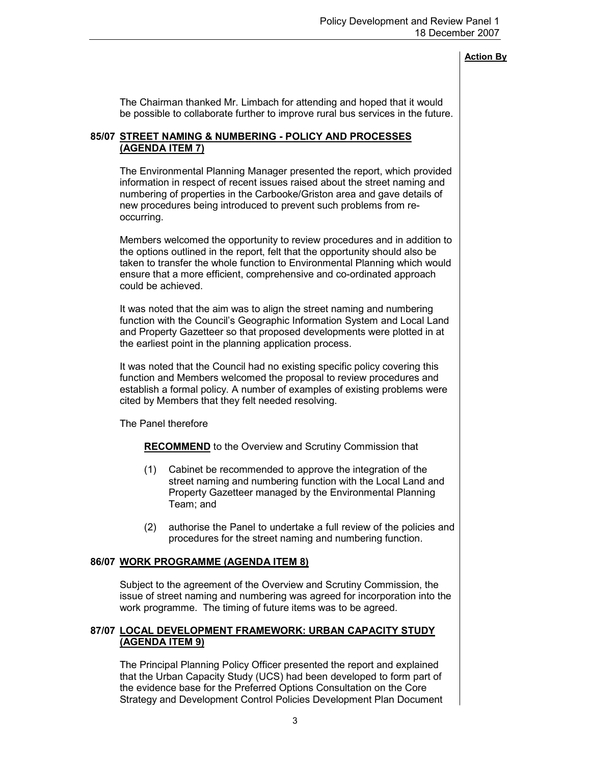The Chairman thanked Mr. Limbach for attending and hoped that it would be possible to collaborate further to improve rural bus services in the future.

### 85/07 STREET NAMING & NUMBERING - POLICY AND PROCESSES (AGENDA ITEM 7)

 The Environmental Planning Manager presented the report, which provided information in respect of recent issues raised about the street naming and numbering of properties in the Carbooke/Griston area and gave details of new procedures being introduced to prevent such problems from reoccurring.

Members welcomed the opportunity to review procedures and in addition to the options outlined in the report, felt that the opportunity should also be taken to transfer the whole function to Environmental Planning which would ensure that a more efficient, comprehensive and co-ordinated approach could be achieved.

It was noted that the aim was to align the street naming and numbering function with the Council's Geographic Information System and Local Land and Property Gazetteer so that proposed developments were plotted in at the earliest point in the planning application process.

It was noted that the Council had no existing specific policy covering this function and Members welcomed the proposal to review procedures and establish a formal policy. A number of examples of existing problems were cited by Members that they felt needed resolving.

The Panel therefore

RECOMMEND to the Overview and Scrutiny Commission that

- (1) Cabinet be recommended to approve the integration of the street naming and numbering function with the Local Land and Property Gazetteer managed by the Environmental Planning Team; and
- (2) authorise the Panel to undertake a full review of the policies and procedures for the street naming and numbering function.

### 86/07 WORK PROGRAMME (AGENDA ITEM 8)

 Subject to the agreement of the Overview and Scrutiny Commission, the issue of street naming and numbering was agreed for incorporation into the work programme. The timing of future items was to be agreed.

## 87/07 LOCAL DEVELOPMENT FRAMEWORK: URBAN CAPACITY STUDY (AGENDA ITEM 9)

 The Principal Planning Policy Officer presented the report and explained that the Urban Capacity Study (UCS) had been developed to form part of the evidence base for the Preferred Options Consultation on the Core Strategy and Development Control Policies Development Plan Document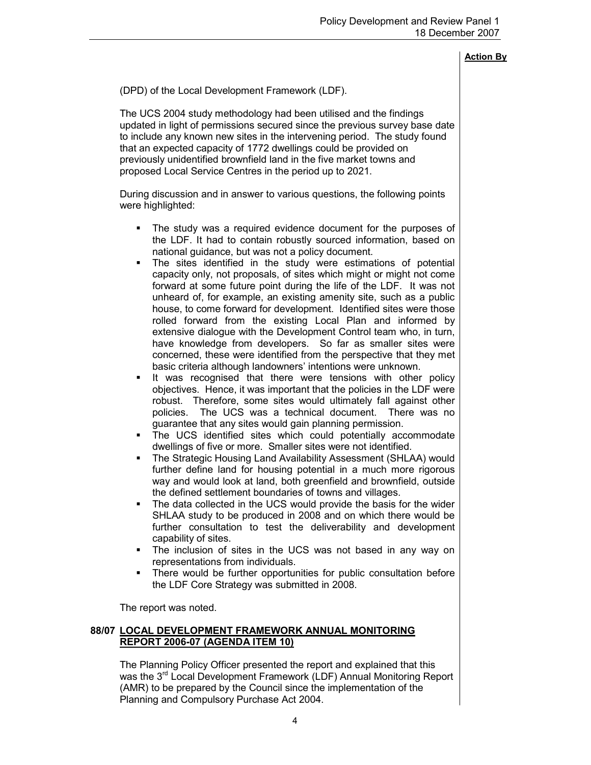(DPD) of the Local Development Framework (LDF).

The UCS 2004 study methodology had been utilised and the findings updated in light of permissions secured since the previous survey base date to include any known new sites in the intervening period. The study found that an expected capacity of 1772 dwellings could be provided on previously unidentified brownfield land in the five market towns and proposed Local Service Centres in the period up to 2021.

During discussion and in answer to various questions, the following points were highlighted:

- The study was a required evidence document for the purposes of the LDF. It had to contain robustly sourced information, based on national guidance, but was not a policy document.
- § The sites identified in the study were estimations of potential capacity only, not proposals, of sites which might or might not come forward at some future point during the life of the LDF. It was not unheard of, for example, an existing amenity site, such as a public house, to come forward for development. Identified sites were those rolled forward from the existing Local Plan and informed by extensive dialogue with the Development Control team who, in turn, have knowledge from developers. So far as smaller sites were concerned, these were identified from the perspective that they met basic criteria although landowners' intentions were unknown.
- It was recognised that there were tensions with other policy objectives. Hence, it was important that the policies in the LDF were robust. Therefore, some sites would ultimately fall against other policies. The UCS was a technical document. There was no guarantee that any sites would gain planning permission.
- § The UCS identified sites which could potentially accommodate dwellings of five or more. Smaller sites were not identified.
- § The Strategic Housing Land Availability Assessment (SHLAA) would further define land for housing potential in a much more rigorous way and would look at land, both greenfield and brownfield, outside the defined settlement boundaries of towns and villages.
- The data collected in the UCS would provide the basis for the wider SHLAA study to be produced in 2008 and on which there would be further consultation to test the deliverability and development capability of sites.
- The inclusion of sites in the UCS was not based in any way on representations from individuals.
- There would be further opportunities for public consultation before the LDF Core Strategy was submitted in 2008.

The report was noted.

## 88/07 LOCAL DEVELOPMENT FRAMEWORK ANNUAL MONITORING REPORT 2006-07 (AGENDA ITEM 10)

 The Planning Policy Officer presented the report and explained that this was the 3<sup>rd</sup> Local Development Framework (LDF) Annual Monitoring Report (AMR) to be prepared by the Council since the implementation of the Planning and Compulsory Purchase Act 2004.